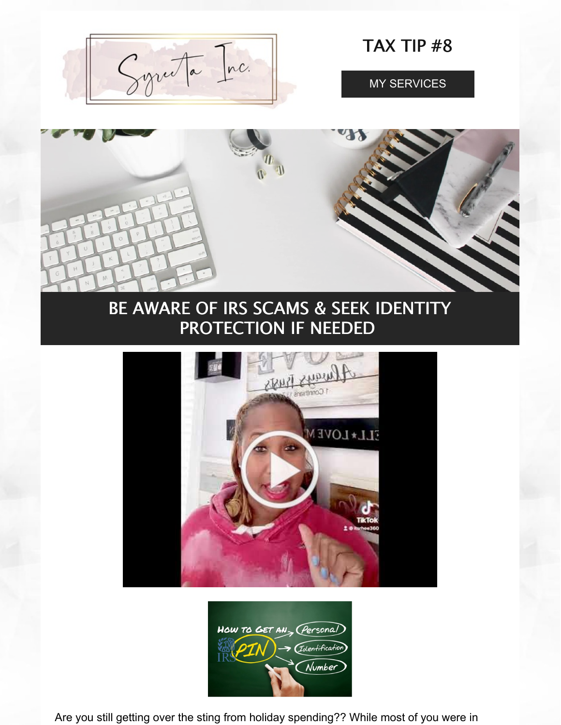Syruta Inc.

TAX TIP #8

MY SERVICES



# BE AWARE OF IRS SCAMS & SEEK IDENTITY PROTECTION IF NEEDED





Are you still getting over the sting from holiday spending?? While most of you were in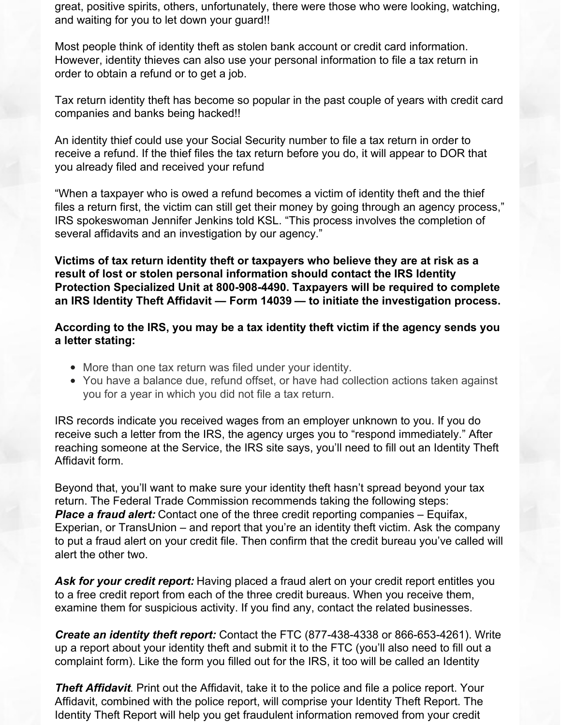great, positive spirits, others, unfortunately, there were those who were looking, watching, and waiting for you to let down your guard!!

Most people think of identity theft as stolen bank account or credit card information. However, identity thieves can also use your personal information to file a tax return in order to obtain a refund or to get a job.

Tax return identity theft has become so popular in the past couple of years with credit card companies and banks being hacked!!

An identity thief could use your Social Security number to file a tax return in order to receive a refund. If the thief files the tax return before you do, it will appear to DOR that you already filed and received your refund

"When a taxpayer who is owed a refund becomes a victim of identity theft and the thief files a return first, the victim can still get their money by going through an agency process," IRS spokeswoman Jennifer Jenkins told KSL. "This process involves the completion of several affidavits and an investigation by our agency."

**Victims of tax return identity theft or taxpayers who believe they are at risk as a result of lost or stolen personal information should contact the IRS Identity Protection Specialized Unit at 800-908-4490. Taxpayers will be required to complete an IRS Identity Theft Affidavit — Form 14039 — to initiate the investigation process.**

**According to the IRS, you may be a tax identity theft victim if the agency sends you a letter stating:**

- More than one tax return was filed under your identity.
- You have a balance due, refund offset, or have had collection actions taken against you for a year in which you did not file a tax return.

IRS records indicate you received wages from an employer unknown to you. If you do receive such a letter from the IRS, the agency urges you to "respond immediately." After reaching someone at the Service, the IRS site says, you'll need to fill out an Identity Theft Affidavit form.

Beyond that, you'll want to make sure your identity theft hasn't spread beyond your tax return. The Federal Trade Commission recommends taking the following steps: *Place a fraud alert:* Contact one of the three credit reporting companies – Equifax, Experian, or TransUnion – and report that you're an identity theft victim. Ask the company to put a fraud alert on your credit file. Then confirm that the credit bureau you've called will alert the other two.

*Ask for your credit report:* Having placed a fraud alert on your credit report entitles you to a free credit report from each of the three credit bureaus. When you receive them, examine them for suspicious activity. If you find any, contact the related businesses.

*Create an identity theft report:* Contact the FTC (877-438-4338 or 866-653-4261). Write up a report about your identity theft and submit it to the FTC (you'll also need to fill out a complaint form). Like the form you filled out for the IRS, it too will be called an Identity

*Theft Affidavit*. Print out the Affidavit, take it to the police and file a police report. Your Affidavit, combined with the police report, will comprise your Identity Theft Report. The Identity Theft Report will help you get fraudulent information removed from your credit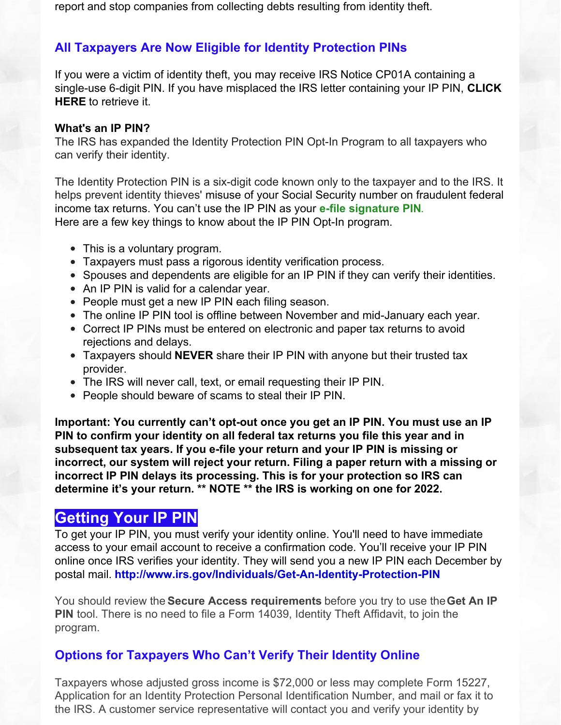## **All Taxpayers Are Now Eligible for Identity Protection PINs**

If you were a victim of identity theft, you may receive IRS Notice CP01A containing a single-use 6-digit PIN. If you have misplaced the IRS letter containing your IP PIN, **CLICK HERE** to retrieve it.

#### **What's an IP PIN?**

The IRS has expanded the Identity Protection PIN Opt-In Program to all taxpayers who can verify their identity.

The Identity Protection PIN is a six-digit code known only to the taxpayer and to the IRS. It helps prevent identity thieves' misuse of your Social Security number on fraudulent federal income tax returns. You can't use the IP PIN as your **e-file signature PIN**. Here are a few key things to know about the IP PIN Opt-In program.

- This is a voluntary program.
- Taxpayers must pass a rigorous identity verification process.
- Spouses and dependents are eligible for an IP PIN if they can verify their identities.
- An IP PIN is valid for a calendar year.
- People must get a new IP PIN each filing season.
- The online IP PIN tool is offline between November and mid-January each year.
- Correct IP PINs must be entered on electronic and paper tax returns to avoid rejections and delays.
- Taxpayers should **NEVER** share their IP PIN with anyone but their trusted tax provider.
- The IRS will never call, text, or email requesting their IP PIN.
- People should beware of scams to steal their IP PIN.

**Important: You currently can't opt-out once you get an IP PIN. You must use an IP PIN to confirm your identity on all federal tax returns you file this year and in subsequent tax years. If you e-file your return and your IP PIN is missing or incorrect, our system will reject your return. Filing a paper return with a missing or incorrect IP PIN delays its processing. This is for your protection so IRS can determine it's your return. \*\* NOTE \*\* the IRS is working on one for 2022.**

## **Getting Your IP PIN**

To get your IP PIN, you must verify your identity online. You'll need to have immediate access to your email account to receive a confirmation code. You'll receive your IP PIN online once IRS verifies your identity. They will send you a new IP PIN each December by postal mail. **http://www.irs.gov/Individuals/Get-An-Identity-Protection-PIN**

You should review the **Secure Access requirements** before you try to use the**Get An IP PIN** tool. There is no need to file a Form 14039, Identity Theft Affidavit, to join the program.

## **Options for Taxpayers Who Can't Verify Their Identity Online**

Taxpayers whose adjusted gross income is \$72,000 or less may complete Form 15227, Application for an Identity Protection Personal Identification Number, and mail or fax it to the IRS. A customer service representative will contact you and verify your identity by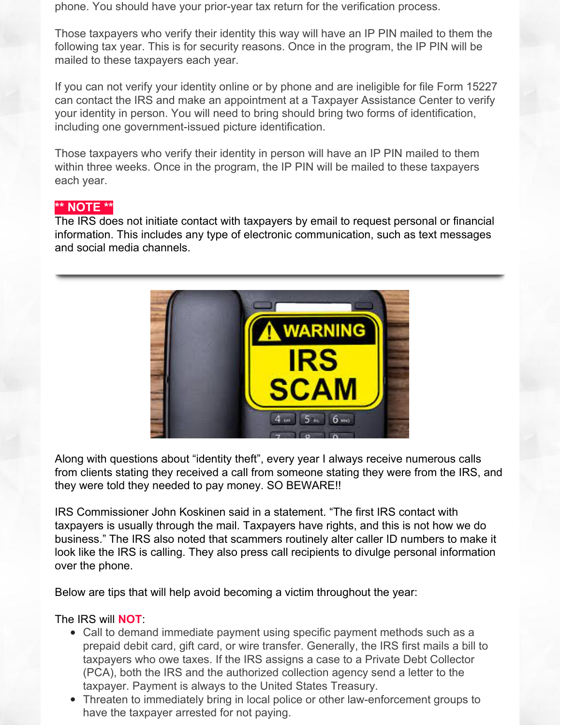phone. You should have your prior-year tax return for the verification process.

Those taxpayers who verify their identity this way will have an IP PIN mailed to them the following tax year. This is for security reasons. Once in the program, the IP PIN will be mailed to these taxpayers each year.

If you can not verify your identity online or by phone and are ineligible for file Form 15227 can contact the IRS and make an appointment at a Taxpayer Assistance Center to verify your identity in person. You will need to bring should bring two forms of identification, including one government-issued picture identification.

Those taxpayers who verify their identity in person will have an IP PIN mailed to them within three weeks. Once in the program, the IP PIN will be mailed to these taxpayers each year.

### **\*\* NOTE \*\***

The IRS does not initiate contact with taxpayers by email to request personal or financial information. This includes any type of electronic communication, such as text messages and social media channels.



Along with questions about "identity theft", every year I always receive numerous calls from clients stating they received a call from someone stating they were from the IRS, and they were told they needed to pay money. SO BEWARE!!

IRS Commissioner John Koskinen said in a statement. "The first IRS contact with taxpayers is usually through the mail. Taxpayers have rights, and this is not how we do business." The IRS also noted that scammers routinely alter caller ID numbers to make it look like the IRS is calling. They also press call recipients to divulge personal information over the phone.

Below are tips that will help avoid becoming a victim throughout the year:

### The IRS will **NOT**:

- Call to demand immediate payment using specific payment methods such as a prepaid debit card, gift card, or wire transfer. Generally, the IRS first mails a bill to taxpayers who owe taxes. If the IRS assigns a case to a Private Debt Collector (PCA), both the IRS and the authorized collection agency send a letter to the taxpayer. Payment is always to the United States Treasury.
- Threaten to immediately bring in local police or other law-enforcement groups to have the taxpayer arrested for not paying.